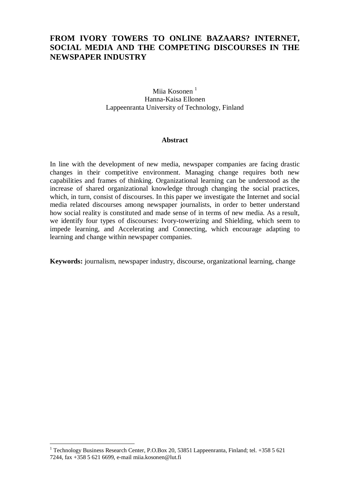# **FROM IVORY TOWERS TO ONLINE BAZAARS? INTERNET, SOCIAL MEDIA AND THE COMPETING DISCOURSES IN THE NEWSPAPER INDUSTRY**

Miia Kosonen<sup>1</sup> Hanna-Kaisa Ellonen Lappeenranta University of Technology, Finland

#### **Abstract**

In line with the development of new media, newspaper companies are facing drastic changes in their competitive environment. Managing change requires both new capabilities and frames of thinking. Organizational learning can be understood as the increase of shared organizational knowledge through changing the social practices, which, in turn, consist of discourses. In this paper we investigate the Internet and social media related discourses among newspaper journalists, in order to better understand how social reality is constituted and made sense of in terms of new media. As a result, we identify four types of discourses: Ivory-towerizing and Shielding, which seem to impede learning, and Accelerating and Connecting, which encourage adapting to learning and change within newspaper companies.

**Keywords:** journalism, newspaper industry, discourse, organizational learning, change

<sup>&</sup>lt;sup>1</sup> Technology Business Research Center, P.O.Box 20, 53851 Lappeenranta, Finland; tel. +358 5 621 7244, fax +358 5 621 6699, e-mail [miia.kosonen@lut.fi](mailto:miia.kosonen@lut.fi)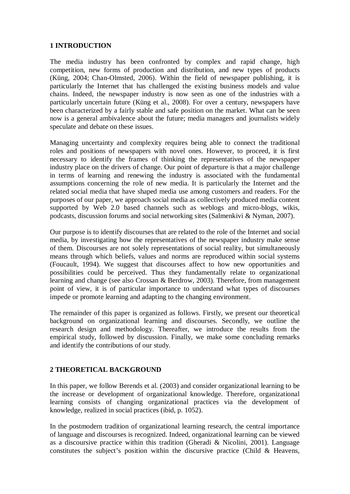## **1 INTRODUCTION**

The media industry has been confronted by complex and rapid change, high competition, new forms of production and distribution, and new types of products (Küng, 2004; Chan-Olmsted, 2006). Within the field of newspaper publishing, it is particularly the Internet that has challenged the existing business models and value chains. Indeed, the newspaper industry is now seen as one of the industries with a particularly uncertain future (Küng et al., 2008). For over a century, newspapers have been characterized by a fairly stable and safe position on the market. What can be seen now is a general ambivalence about the future; media managers and journalists widely speculate and debate on these issues.

Managing uncertainty and complexity requires being able to connect the traditional roles and positions of newspapers with novel ones. However, to proceed, it is first necessary to identify the frames of thinking the representatives of the newspaper industry place on the drivers of change. Our point of departure is that a major challenge in terms of learning and renewing the industry is associated with the fundamental assumptions concerning the role of new media. It is particularly the Internet and the related social media that have shaped media use among customers and readers. For the purposes of our paper, we approach social media as collectively produced media content supported by Web 2.0 based channels such as weblogs and micro-blogs, wikis, podcasts, discussion forums and social networking sites (Salmenkivi & Nyman, 2007).

Our purpose is to identify discourses that are related to the role of the Internet and social media, by investigating how the representatives of the newspaper industry make sense of them. Discourses are not solely representations of social reality, but simultaneously means through which beliefs, values and norms are reproduced within social systems (Foucault, 1994). We suggest that discourses affect to how new opportunities and possibilities could be perceived. Thus they fundamentally relate to organizational learning and change (see also Crossan & Berdrow, 2003). Therefore, from management point of view, it is of particular importance to understand what types of discourses impede or promote learning and adapting to the changing environment.

The remainder of this paper is organized as follows. Firstly, we present our theoretical background on organizational learning and discourses. Secondly, we outline the research design and methodology. Thereafter, we introduce the results from the empirical study, followed by discussion. Finally, we make some concluding remarks and identify the contributions of our study.

# **2 THEORETICAL BACKGROUND**

In this paper, we follow Berends et al. (2003) and consider organizational learning to be the increase or development of organizational knowledge. Therefore, organizational learning consists of changing organizational practices via the development of knowledge, realized in social practices (ibid, p. 1052).

In the postmodern tradition of organizational learning research, the central importance of language and discourses is recognized. Indeed, organizational learning can be viewed as a discoursive practice within this tradition (Gheradi & Nicolini, 2001). Language constitutes the subject's position within the discursive practice (Child & Heavens,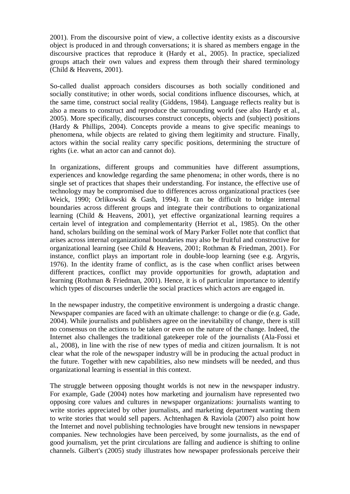2001). From the discoursive point of view, a collective identity exists as a discoursive object is produced in and through conversations; it is shared as members engage in the discoursive practices that reproduce it (Hardy et al., 2005). In practice, specialized groups attach their own values and express them through their shared terminology (Child & Heavens, 2001).

So-called dualist approach considers discourses as both socially conditioned and socially constitutive; in other words, social conditions influence discourses, which, at the same time, construct social reality (Giddens, 1984). Language reflects reality but is also a means to construct and reproduce the surrounding world (see also Hardy et al., 2005). More specifically, discourses construct concepts, objects and (subject) positions (Hardy & Phillips, 2004). Concepts provide a means to give specific meanings to phenomena, while objects are related to giving them legitimity and structure. Finally, actors within the social reality carry specific positions, determining the structure of rights (i.e. what an actor can and cannot do).

In organizations, different groups and communities have different assumptions, experiences and knowledge regarding the same phenomena; in other words, there is no single set of practices that shapes their understanding. For instance, the effective use of technology may be compromised due to differences across organizational practices (see Weick, 1990; Orlikowski & Gash, 1994). It can be difficult to bridge internal boundaries across different groups and integrate their contributions to organizational learning (Child & Heavens, 2001), yet effective organizational learning requires a certain level of integration and complementarity (Herriot et al., 1985). On the other hand, scholars building on the seminal work of Mary Parker Follet note that conflict that arises across internal organizational boundaries may also be fruitful and constructive for organizational learning (see Child & Heavens, 2001; Rothman & Friedman, 2001). For instance, conflict plays an important role in double-loop learning (see e.g. Argyris, 1976). In the identity frame of conflict, as is the case when conflict arises between different practices, conflict may provide opportunities for growth, adaptation and learning (Rothman & Friedman, 2001). Hence, it is of particular importance to identify which types of discourses underlie the social practices which actors are engaged in.

In the newspaper industry, the competitive environment is undergoing a drastic change. Newspaper companies are faced with an ultimate challenge: to change or die (e.g. Gade, 2004). While journalists and publishers agree on the inevitability of change, there is still no consensus on the actions to be taken or even on the nature of the change. Indeed, the Internet also challenges the traditional gatekeeper role of the journalists (Ala-Fossi et al., 2008), in line with the rise of new types of media and citizen journalism. It is not clear what the role of the newspaper industry will be in producing the actual product in the future. Together with new capabilities, also new mindsets will be needed, and thus organizational learning is essential in this context.

The struggle between opposing thought worlds is not new in the newspaper industry. For example, Gade (2004) notes how marketing and journalism have represented two opposing core values and cultures in newspaper organizations: journalists wanting to write stories appreciated by other journalists, and marketing department wanting them to write stories that would sell papers. Achtenhagen & Raviola (2007) also point how the Internet and novel publishing technologies have brought new tensions in newspaper companies. New technologies have been perceived, by some journalists, as the end of good journalism, yet the print circulations are falling and audience is shifting to online channels. Gilbert's (2005) study illustrates how newspaper professionals perceive their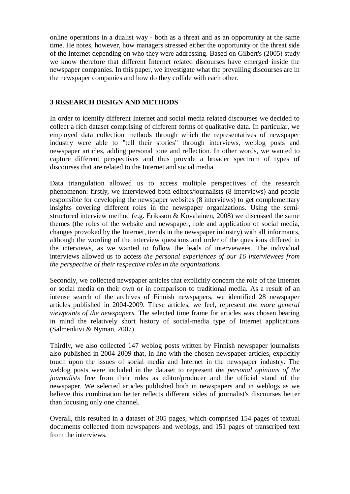online operations in a dualist way - both as a threat and as an opportunity at the same time. He notes, however, how managers stressed either the opportunity or the threat side of the Internet depending on who they were addressing. Based on Gilbert's (2005) study we know therefore that different Internet related discourses have emerged inside the newspaper companies. In this paper, we investigate what the prevailing discourses are in the newspaper companies and how do they collide with each other.

## **3 RESEARCH DESIGN AND METHODS**

In order to identify different Internet and social media related discourses we decided to collect a rich dataset comprising of different forms of qualitative data. In particular, we employed data collection methods through which the representatives of newspaper industry were able to "tell their stories" through interviews, weblog posts and newspaper articles, adding personal tone and reflection. In other words, we wanted to capture different perspectives and thus provide a broader spectrum of types of discourses that are related to the Internet and social media.

Data triangulation allowed us to access multiple perspectives of the research phenomenon: firstly, we interviewed both editors/journalists (8 interviews) and people responsible for developing the newspaper websites (8 interviews) to get complementary insights covering different roles in the newspaper organizations. Using the semistructured interview method (e.g. Eriksson & Kovalainen, 2008) we discussed the same themes (the roles of the website and newspaper, role and application of social media, changes provoked by the Internet, trends in the newspaper industry) with all informants, although the wording of the interview questions and order of the questions differed in the interviews, as we wanted to follow the leads of interviewees. The individual interviews allowed us to access *the personal experiences of our 16 interviewees from the perspective of their respective roles in the organizations*.

Secondly, we collected newspaper articles that explicitly concern the role of the Internet or social media on their own or in comparison to traditional media. As a result of an intense search of the archives of Finnish newspapers, we identified 28 newspaper articles published in 2004-2009. These articles, we feel, represent *the more general viewpoints of the newspapers.* The selected time frame for articles was chosen bearing in mind the relatively short history of social-media type of Internet applications (Salmenkivi & Nyman, 2007).

Thirdly, we also collected 147 weblog posts written by Finnish newspaper journalists also published in 2004-2009 that, in line with the chosen newspaper articles, explicitly touch upon the issues of social media and Internet in the newspaper industry. The weblog posts were included in the dataset to represent *the personal opinions of the journalists* free from their roles as editor/producer and the official stand of the newspaper. We selected articles published both in newspapers and in weblogs as we believe this combination better reflects different sides of journalist's discourses better than focusing only one channel.

Overall, this resulted in a dataset of 305 pages, which comprised 154 pages of textual documents collected from newspapers and weblogs, and 151 pages of transcriped text from the interviews.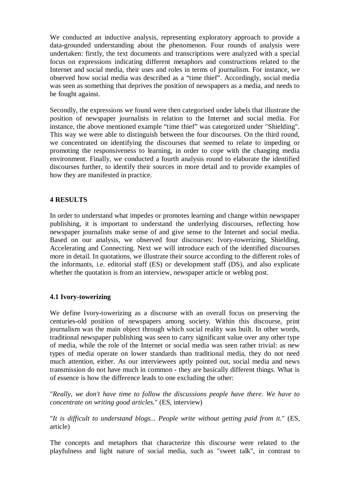We conducted an inductive analysis, representing exploratory approach to provide a data-grounded understanding about the phenomenon. Four rounds of analysis were undertaken: firstly, the text documents and transcriptions were analyzed with a special focus on expressions indicating different metaphors and constructions related to the Internet and social media, their uses and roles in terms of journalism. For instance, we observed how social media was described as a "time thief". Accordingly, social media was seen as something that deprives the position of newspapers as a media, and needs to be fought against.

Secondly, the expressions we found were then categorised under labels that illustrate the position of newspaper journalists in relation to the Internet and social media. For instance, the above mentioned example "time thief" was categorized under "Shielding". This way we were able to distinguish between the four discourses. On the third round, we concentrated on identifying the discourses that seemed to relate to impeding or promoting the responsiveness to learning, in order to cope with the changing media environment. Finally, we conducted a fourth analysis round to elaborate the identified discourses further, to identify their sources in more detail and to provide examples of how they are manifested in practice.

# **4 RESULTS**

In order to understand what impedes or promotes learning and change within newspaper publishing, it is important to understand the underlying discourses, reflecting how newspaper journalists make sense of and give sense to the Internet and social media. Based on our analysis, we observed four discourses: Ivory-towerizing, Shielding, Accelerating and Connecting. Next we will introduce each of the identified discourses more in detail. In quotations, we illustrate their source according to the different roles of the informants, i.e. editorial staff (ES) or development staff (DS), and also explicate whether the quotation is from an interview, newspaper article or weblog post.

#### **4.1 Ivory-towerizing**

We define Ivory-towerizing as a discourse with an overall focus on preserving the centuries-old position of newspapers among society. Within this discourse, print journalism was the main object through which social reality was built. In other words, traditional newspaper publishing was seen to carry significant value over any other type of media, while the role of the Internet or social media was seen rather trivial: as new types of media operate on lower standards than traditional media, they do not need much attention, either. As our interviewees aptly pointed out, social media and news transmission do not have much in common - they are basically different things. What is of essence is how the difference leads to one excluding the other:

"*Really, we don't have time to follow the discussions people have there. We have to concentrate on writing good articles.*" (ES, interview)

"*It is difficult to understand blogs... People write without getting paid from it.*" (ES, article)

The concepts and metaphors that characterize this discourse were related to the playfulness and light nature of social media, such as "sweet talk", in contrast to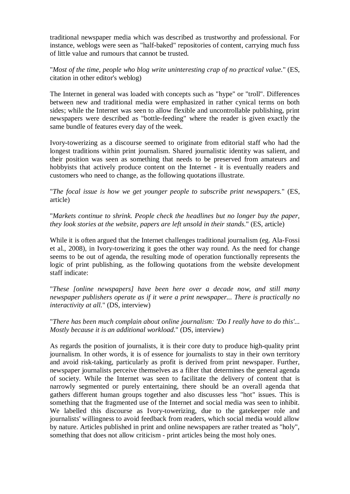traditional newspaper media which was described as trustworthy and professional. For instance, weblogs were seen as "half-baked" repositories of content, carrying much fuss of little value and rumours that cannot be trusted.

"*Most of the time, people who blog write uninteresting crap of no practical value.*" (ES, citation in other editor's weblog)

The Internet in general was loaded with concepts such as "hype" or "troll". Differences between new and traditional media were emphasized in rather cynical terms on both sides; while the Internet was seen to allow flexible and uncontrollable publishing, print newspapers were described as "bottle-feeding" where the reader is given exactly the same bundle of features every day of the week.

Ivory-towerizing as a discourse seemed to originate from editorial staff who had the longest traditions within print journalism. Shared journalistic identity was salient, and their position was seen as something that needs to be preserved from amateurs and hobbyists that actively produce content on the Internet - it is eventually readers and customers who need to change, as the following quotations illustrate.

"*The focal issue is how we get younger people to subscribe print newspapers.*" (ES, article)

"*Markets continue to shrink. People check the headlines but no longer buy the paper, they look stories at the website, papers are left unsold in their stands.*" (ES, article)

While it is often argued that the Internet challenges traditional journalism (eg. Ala-Fossi et al., 2008), in Ivory-towerizing it goes the other way round. As the need for change seems to be out of agenda, the resulting mode of operation functionally represents the logic of print publishing, as the following quotations from the website development staff indicate:

"*These [online newspapers] have been here over a decade now, and still many newspaper publishers operate as if it were a print newspaper... There is practically no interactivity at all.*" (DS, interview)

"*There has been much complain about online journalism: 'Do I really have to do this'... Mostly because it is an additional workload.*" (DS, interview)

As regards the position of journalists, it is their core duty to produce high-quality print journalism. In other words, it is of essence for journalists to stay in their own territory and avoid risk-taking, particularly as profit is derived from print newspaper. Further, newspaper journalists perceive themselves as a filter that determines the general agenda of society. While the Internet was seen to facilitate the delivery of content that is narrowly segmented or purely entertaining, there should be an overall agenda that gathers different human groups together and also discusses less "hot" issues. This is something that the fragmented use of the Internet and social media was seen to inhibit. We labelled this discourse as Ivory-towerizing, due to the gatekeeper role and journalists' willingness to avoid feedback from readers, which social media would allow by nature. Articles published in print and online newspapers are rather treated as "holy", something that does not allow criticism - print articles being the most holy ones.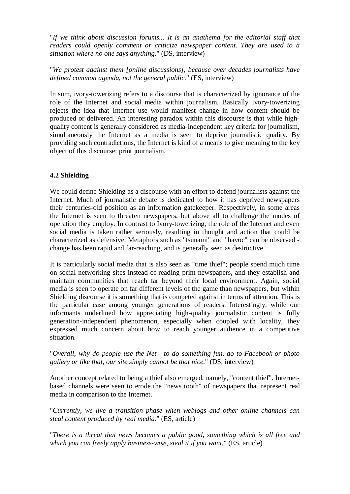"*If we think about discussion forums... It is an anathema for the editorial staff that readers could openly comment or criticize newspaper content. They are used to a situation where no one says anything.*" (DS, interview)

"*We protest against them [online discussions], because over decades journalists have defined common agenda, not the general public.*" (ES, interview)

In sum, ivory-towerizing refers to a discourse that is characterized by ignorance of the role of the Internet and social media within journalism. Basically Ivory-towerizing rejects the idea that Internet use would manifest change in how content should be produced or delivered. An interesting paradox within this discourse is that while highquality content is generally considered as media-independent key criteria for journalism, simultaneously the Internet as a media is seen to deprive journalistic quality. By providing such contradictions, the Internet is kind of a means to give meaning to the key object of this discourse: print journalism.

### **4.2 Shielding**

We could define Shielding as a discourse with an effort to defend journalists against the Internet. Much of journalistic debate is dedicated to how it has deprived newspapers their centuries-old position as an information gatekeeper. Respectively, in some areas the Internet is seen to threaten newspapers, but above all to challenge the modes of operation they employ. In contrast to Ivory-towerizing, the role of the Internet and even social media is taken rather seriously, resulting in thought and action that could be characterized as defensive. Metaphors such as "tsunami" and "havoc" can be observed change has been rapid and far-reaching, and is generally seen as destructive.

It is particularly social media that is also seen as "time thief"; people spend much time on social networking sites instead of reading print newspapers, and they establish and maintain communities that reach far beyond their local environment. Again, social media is seen to operate on far different levels of the game than newspapers, but within Shielding discourse it is something that is competed against in terms of attention. This is the particular case among younger generations of readers. Interestingly, while our informants underlined how appreciating high-quality journalistic content is fully generation-independent phenomenon, especially when coupled with locality, they expressed much concern about how to reach younger audience in a competitive situation.

"*Overall, why do people use the Net - to do something fun, go to Facebook or photo gallery or like that, our site simply cannot be that nice.*" (DS, interview)

Another concept related to being a thief also emerged, namely, "content thief". Internetbased channels were seen to erode the "news tooth" of newspapers that represent real media in comparison to the Internet.

"*Currently, we live a transition phase when weblogs and other online channels can steal content produced by real media*." (ES, article)

"*There is a threat that news becomes a public good, something which is all free and which you can freely apply business-wise, steal it if you want.*" (ES, article)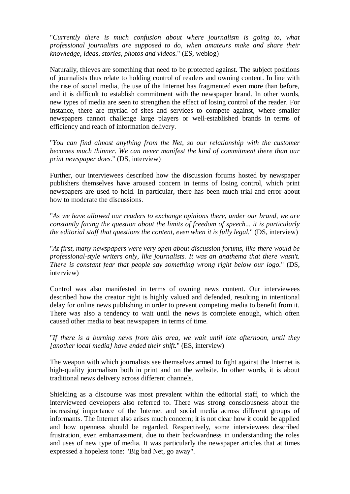"*Currently there is much confusion about where journalism is going to, what professional journalists are supposed to do, when amateurs make and share their knowledge, ideas, stories, photos and videos.*" (ES, weblog)

Naturally, thieves are something that need to be protected against. The subject positions of journalists thus relate to holding control of readers and owning content. In line with the rise of social media, the use of the Internet has fragmented even more than before, and it is difficult to establish commitment with the newspaper brand. In other words, new types of media are seen to strengthen the effect of losing control of the reader. For instance, there are myriad of sites and services to compete against, where smaller newspapers cannot challenge large players or well-established brands in terms of efficiency and reach of information delivery.

"*You can find almost anything from the Net, so our relationship with the customer becomes much thinner. We can never manifest the kind of commitment there than our print newspaper does.*" (DS, interview)

Further, our interviewees described how the discussion forums hosted by newspaper publishers themselves have aroused concern in terms of losing control, which print newspapers are used to hold. In particular, there has been much trial and error about how to moderate the discussions.

"*As we have allowed our readers to exchange opinions there, under our brand, we are constantly facing the question about the limits of freedom of speech... it is particularly the editorial staff that questions the content, even when it is fully legal.*" (DS, interview)

"*At first, many newspapers were very open about discussion forums, like there would be professional-style writers only, like journalists. It was an anathema that there wasn't. There is constant fear that people say something wrong right below our logo.*" (DS, interview)

Control was also manifested in terms of owning news content. Our interviewees described how the creator right is highly valued and defended, resulting in intentional delay for online news publishing in order to prevent competing media to benefit from it. There was also a tendency to wait until the news is complete enough, which often caused other media to beat newspapers in terms of time.

"*If there is a burning news from this area, we wait until late afternoon, until they [another local media] have ended their shift.*" (ES, interview)

The weapon with which journalists see themselves armed to fight against the Internet is high-quality journalism both in print and on the website. In other words, it is about traditional news delivery across different channels.

Shielding as a discourse was most prevalent within the editorial staff, to which the intervieweed developers also referred to. There was strong consciousness about the increasing importance of the Internet and social media across different groups of informants. The Internet also arises much concern; it is not clear how it could be applied and how openness should be regarded. Respectively, some interviewees described frustration, even embarrassment, due to their backwardness in understanding the roles and uses of new type of media. It was particularly the newspaper articles that at times expressed a hopeless tone: "Big bad Net, go away".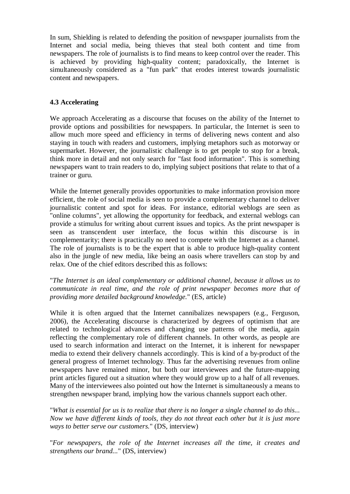In sum, Shielding is related to defending the position of newspaper journalists from the Internet and social media, being thieves that steal both content and time from newspapers. The role of journalists is to find means to keep control over the reader. This is achieved by providing high-quality content; paradoxically, the Internet is simultaneously considered as a "fun park" that erodes interest towards journalistic content and newspapers.

# **4.3 Accelerating**

We approach Accelerating as a discourse that focuses on the ability of the Internet to provide options and possibilities for newspapers. In particular, the Internet is seen to allow much more speed and efficiency in terms of delivering news content and also staying in touch with readers and customers, implying metaphors such as motorway or supermarket. However, the journalistic challenge is to get people to stop for a break, think more in detail and not only search for "fast food information". This is something newspapers want to train readers to do, implying subject positions that relate to that of a trainer or guru.

While the Internet generally provides opportunities to make information provision more efficient, the role of social media is seen to provide a complementary channel to deliver journalistic content and spot for ideas. For instance, editorial weblogs are seen as "online columns", yet allowing the opportunity for feedback, and external weblogs can provide a stimulus for writing about current issues and topics. As the print newspaper is seen as transcendent user interface, the focus within this discourse is in complementarity; there is practically no need to compete with the Internet as a channel. The role of journalists is to be the expert that is able to produce high-quality content also in the jungle of new media, like being an oasis where travellers can stop by and relax. One of the chief editors described this as follows:

"*The Internet is an ideal complementary or additional channel, because it allows us to communicate in real time, and the role of print newspaper becomes more that of providing more detailed background knowledge.*" (ES, article)

While it is often argued that the Internet cannibalizes newspapers (e.g., Ferguson, 2006), the Accelerating discourse is characterized by degrees of optimism that are related to technological advances and changing use patterns of the media, again reflecting the complementary role of different channels. In other words, as people are used to search information and interact on the Internet, it is inherent for newspaper media to extend their delivery channels accordingly. This is kind of a by-product of the general progress of Internet technology. Thus far the advertising revenues from online newspapers have remained minor, but both our interviewees and the future-mapping print articles figured out a situation where they would grow up to a half of all revenues. Many of the interviewees also pointed out how the Internet is simultaneously a means to strengthen newspaper brand, implying how the various channels support each other.

"*What is essential for us is to realize that there is no longer a single channel to do this... Now we have different kinds of tools, they do not threat each other but it is just more ways to better serve our customers.*" (DS, interview)

"*For newspapers, the role of the Internet increases all the time, it creates and strengthens our brand...*" (DS, interview)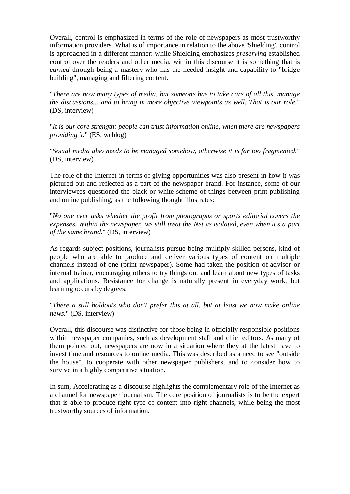Overall, control is emphasized in terms of the role of newspapers as most trustworthy information providers. What is of importance in relation to the above 'Shielding', control is approached in a different manner: while Shielding emphasizes *preserving* established control over the readers and other media, within this discourse it is something that is *earned* through being a mastery who has the needed insight and capability to "bridge building", managing and filtering content.

"*There are now many types of media, but someone has to take care of all this, manage the discussions... and to bring in more objective viewpoints as well. That is our role.*" (DS, interview)

"*It is our core strength: people can trust information online, when there are newspapers providing it.*" (ES, weblog)

"*Social media also needs to be managed somehow, otherwise it is far too fragmented.*" (DS, interview)

The role of the Internet in terms of giving opportunities was also present in how it was pictured out and reflected as a part of the newspaper brand. For instance, some of our interviewees questioned the black-or-white scheme of things between print publishing and online publishing, as the following thought illustrates:

"*No one ever asks whether the profit from photographs or sports editorial covers the expenses. Within the newspaper, we still treat the Net as isolated, even when it's a part of the same brand.*" (DS, interview)

As regards subject positions, journalists pursue being multiply skilled persons, kind of people who are able to produce and deliver various types of content on multiple channels instead of one (print newspaper). Some had taken the position of advisor or internal trainer, encouraging others to try things out and learn about new types of tasks and applications. Resistance for change is naturally present in everyday work, but learning occurs by degrees.

"*There a still holdouts who don't prefer this at all, but at least we now make online news.*" (DS, interview)

Overall, this discourse was distinctive for those being in officially responsible positions within newspaper companies, such as development staff and chief editors. As many of them pointed out, newspapers are now in a situation where they at the latest have to invest time and resources to online media. This was described as a need to see "outside the house", to cooperate with other newspaper publishers, and to consider how to survive in a highly competitive situation.

In sum, Accelerating as a discourse highlights the complementary role of the Internet as a channel for newspaper journalism. The core position of journalists is to be the expert that is able to produce right type of content into right channels, while being the most trustworthy sources of information.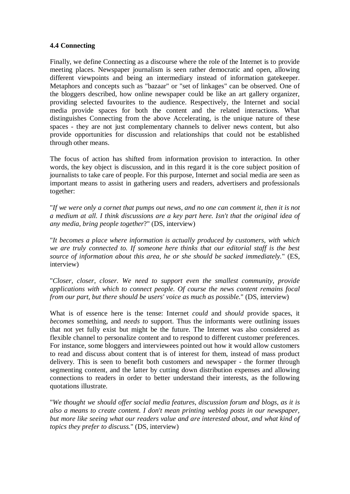### **4.4 Connecting**

Finally, we define Connecting as a discourse where the role of the Internet is to provide meeting places. Newspaper journalism is seen rather democratic and open, allowing different viewpoints and being an intermediary instead of information gatekeeper. Metaphors and concepts such as "bazaar" or "set of linkages" can be observed. One of the bloggers described, how online newspaper could be like an art gallery organizer, providing selected favourites to the audience. Respectively, the Internet and social media provide spaces for both the content and the related interactions. What distinguishes Connecting from the above Accelerating, is the unique nature of these spaces - they are not just complementary channels to deliver news content, but also provide opportunities for discussion and relationships that could not be established through other means.

The focus of action has shifted from information provision to interaction. In other words, the key object is discussion, and in this regard it is the core subject position of journalists to take care of people. For this purpose, Internet and social media are seen as important means to assist in gathering users and readers, advertisers and professionals together:

"*If we were only a cornet that pumps out news, and no one can comment it, then it is not a medium at all. I think discussions are a key part here. Isn't that the original idea of any media, bring people together*?" (DS, interview)

"*It becomes a place where information is actually produced by customers, with which we are truly connected to. If someone here thinks that our editorial staff is the best source of information about this area, he or she should be sacked immediately.*" (ES, interview)

"*Closer, closer, closer. We need to support even the smallest community, provide applications with which to connect people. Of course the news content remains focal from our part, but there should be users' voice as much as possible.*" (DS, interview)

What is of essence here is the tense: Internet *could* and *should* provide spaces, it *becomes* something, and *needs to* support. Thus the informants were outlining issues that not yet fully exist but might be the future. The Internet was also considered as flexible channel to personalize content and to respond to different customer preferences. For instance, some bloggers and interviewees pointed out how it would allow customers to read and discuss about content that is of interest for them, instead of mass product delivery. This is seen to benefit both customers and newspaper - the former through segmenting content, and the latter by cutting down distribution expenses and allowing connections to readers in order to better understand their interests, as the following quotations illustrate.

"*We thought we should offer social media features, discussion forum and blogs, as it is also a means to create content. I don't mean printing weblog posts in our newspaper, but more like seeing what our readers value and are interested about, and what kind of topics they prefer to discuss.*" (DS, interview)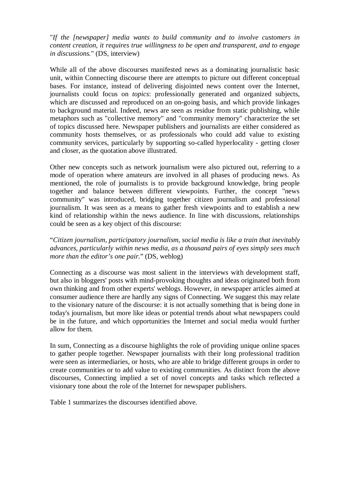"*If the [newspaper] media wants to build community and to involve customers in content creation, it requires true willingness to be open and transparent, and to engage in discussions.*" (DS, interview)

While all of the above discourses manifested news as a dominating journalistic basic unit, within Connecting discourse there are attempts to picture out different conceptual bases. For instance, instead of delivering disjointed news content over the Internet, journalists could focus on *topics*: professionally generated and organized subjects, which are discussed and reproduced on an on-going basis, and which provide linkages to background material. Indeed, news are seen as residue from static publishing, while metaphors such as "collective memory" and "community memory" characterize the set of topics discussed here. Newspaper publishers and journalists are either considered as community hosts themselves, or as professionals who could add value to existing community services, particularly by supporting so-called hyperlocality - getting closer and closer, as the quotation above illustrated.

Other new concepts such as network journalism were also pictured out, referring to a mode of operation where amateurs are involved in all phases of producing news. As mentioned, the role of journalists is to provide background knowledge, bring people together and balance between different viewpoints. Further, the concept "news community" was introduced, bridging together citizen journalism and professional journalism. It was seen as a means to gather fresh viewpoints and to establish a new kind of relationship within the news audience. In line with discussions, relationships could be seen as a key object of this discourse:

"*Citizen journalism, participatory journalism, social media is like a train that inevitably advances, particularly within news media, as a thousand pairs of eyes simply sees much more than the editor's one pair.*" (DS, weblog)

Connecting as a discourse was most salient in the interviews with development staff, but also in bloggers' posts with mind-provoking thoughts and ideas originated both from own thinking and from other experts' weblogs. However, in newspaper articles aimed at consumer audience there are hardly any signs of Connecting. We suggest this may relate to the visionary nature of the discourse: it is not actually something that is being done in today's journalism, but more like ideas or potential trends about what newspapers could be in the future, and which opportunities the Internet and social media would further allow for them.

In sum, Connecting as a discourse highlights the role of providing unique online spaces to gather people together. Newspaper journalists with their long professional tradition were seen as intermediaries, or hosts, who are able to bridge different groups in order to create communities or to add value to existing communities. As distinct from the above discourses, Connecting implied a set of novel concepts and tasks which reflected a visionary tone about the role of the Internet for newspaper publishers.

Table 1 summarizes the discourses identified above.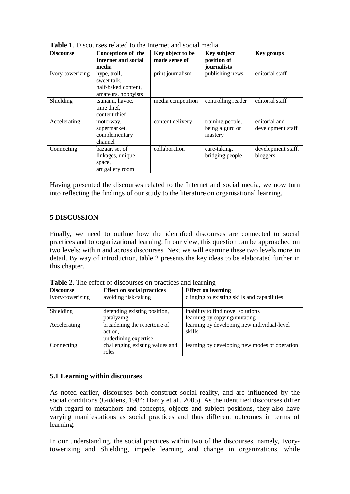| <b>Discourse</b> | Conceptions of the<br><b>Internet and social</b><br>media                 | Key object to be<br>made sense of | Key subject<br>position of<br>journalists      | <b>Key groups</b>                  |  |
|------------------|---------------------------------------------------------------------------|-----------------------------------|------------------------------------------------|------------------------------------|--|
| Ivory-towerizing | hype, troll,<br>sweet talk.<br>half-baked content,<br>amateurs, hobbyists | print journalism                  | publishing news                                | editorial staff                    |  |
| Shielding        | tsunami, havoc,<br>time thief,<br>content thief                           | media competition                 | controlling reader                             | editorial staff                    |  |
| Accelerating     | motorway,<br>supermarket,<br>complementary<br>channel                     | content delivery                  | training people,<br>being a guru or<br>mastery | editorial and<br>development staff |  |
| Connecting       | bazaar, set of<br>linkages, unique<br>space,<br>art gallery room          | collaboration                     | care-taking,<br>bridging people                | development staff,<br>bloggers     |  |

**Table 1**. Discourses related to the Internet and social media

Having presented the discourses related to the Internet and social media, we now turn into reflecting the findings of our study to the literature on organisational learning.

### **5 DISCUSSION**

Finally, we need to outline how the identified discourses are connected to social practices and to organizational learning. In our view, this question can be approached on two levels: within and across discourses. Next we will examine these two levels more in detail. By way of introduction, table 2 presents the key ideas to be elaborated further in this chapter.

**Table 2**. The effect of discourses on practices and learning

| <b>Discourse</b> | <b>Effect on social practices</b> | <b>Effect on learning</b>                     |
|------------------|-----------------------------------|-----------------------------------------------|
| Ivory-towerizing | avoiding risk-taking              | clinging to existing skills and capabilities  |
|                  |                                   |                                               |
| Shielding        | defending existing position,      | inability to find novel solutions             |
|                  | paralyzing                        | learning by copying/imitating                 |
| Accelerating     | broadening the repertoire of      | learning by developing new individual-level   |
|                  | action,                           | skills                                        |
|                  | underlining expertise             |                                               |
| Connecting       | challenging existing values and   | learning by developing new modes of operation |
|                  | roles                             |                                               |

#### **5.1 Learning within discourses**

As noted earlier, discourses both construct social reality, and are influenced by the social conditions (Giddens, 1984; Hardy et al., 2005). As the identified discourses differ with regard to metaphors and concepts, objects and subject positions, they also have varying manifestations as social practices and thus different outcomes in terms of learning.

In our understanding, the social practices within two of the discourses, namely, Ivorytowerizing and Shielding, impede learning and change in organizations, while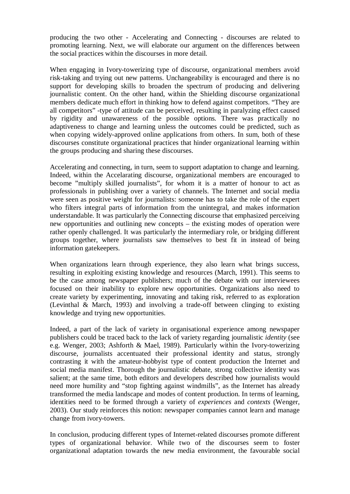producing the two other - Accelerating and Connecting - discourses are related to promoting learning. Next, we will elaborate our argument on the differences between the social practices within the discourses in more detail.

When engaging in Ivory-towerizing type of discourse, organizational members avoid risk-taking and trying out new patterns. Unchangeability is encouraged and there is no support for developing skills to broaden the spectrum of producing and delivering journalistic content. On the other hand, within the Shielding discourse organizational members dedicate much effort in thinking how to defend against competitors. "They are all competitors" -type of attitude can be perceived, resulting in paralyzing effect caused by rigidity and unawareness of the possible options. There was practically no adaptiveness to change and learning unless the outcomes could be predicted, such as when copying widely-approved online applications from others. In sum, both of these discourses constitute organizational practices that hinder organizational learning within the groups producing and sharing these discourses.

Accelerating and connecting, in turn, seem to support adaptation to change and learning. Indeed, within the Accelarating discourse, organizational members are encouraged to become "multiply skilled journalists", for whom it is a matter of honour to act as professionals in publishing over a variety of channels. The Internet and social media were seen as positive weight for journalists: someone has to take the role of the expert who filters integral parts of information from the unintegral, and makes information understandable. It was particularly the Connecting discourse that emphasized perceiving new opportunities and outlining new concepts – the existing modes of operation were rather openly challenged. It was particularly the intermediary role, or bridging different groups together, where journalists saw themselves to best fit in instead of being information gatekeepers.

When organizations learn through experience, they also learn what brings success, resulting in exploiting existing knowledge and resources (March, 1991). This seems to be the case among newspaper publishers; much of the debate with our interviewees focused on their inability to explore new opportunities. Organizations also need to create variety by experimenting, innovating and taking risk, referred to as exploration (Levinthal & March, 1993) and involving a trade-off between clinging to existing knowledge and trying new opportunities.

Indeed, a part of the lack of variety in organisational experience among newspaper publishers could be traced back to the lack of variety regarding journalistic *identity* (see e.g. Wenger, 2003; Ashforth & Mael, 1989). Particularly within the Ivory-towerizing discourse, journalists accentuated their professional identity and status, strongly contrasting it with the amateur-hobbyist type of content production the Internet and social media manifest. Thorough the journalistic debate, strong collective identity was salient; at the same time, both editors and developers described how journalists would need more humility and "stop fighting against windmills", as the Internet has already transformed the media landscape and modes of content production. In terms of learning, identities need to be formed through a variety of *experiences* and *contexts* (Wenger, 2003). Our study reinforces this notion: newspaper companies cannot learn and manage change from ivory-towers.

In conclusion, producing different types of Internet-related discourses promote different types of organizational behavior. While two of the discourses seem to foster organizational adaptation towards the new media environment, the favourable social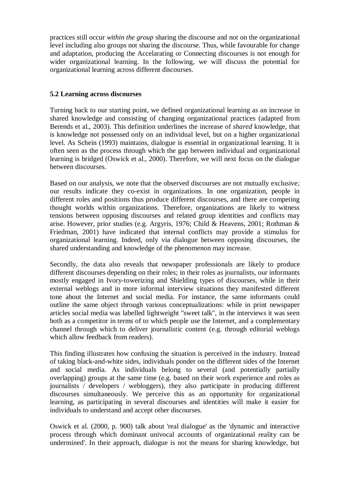practices still occur *within the group* sharing the discourse and not on the organizational level including also groups not sharing the discourse. Thus, while favourable for change and adaptation, producing the Accelarating or Connecting discourses is not enough for wider organizational learning. In the following, we will discuss the potential for organizational learning across different discourses.

# **5.2 Learning across discourses**

Turning back to our starting point, we defined organizational learning as an increase in shared knowledge and consisting of changing organizational practices (adapted from Berends et al., 2003). This definition underlines the increase of *shared* knowledge, that is knowledge not possessed only on an individual level, but on a higher organizational level. As Schein (1993) maintains, dialogue is essential in organizational learning. It is often seen as the process through which the gap between individual and organizational learning is bridged (Oswick et al., 2000). Therefore, we will next focus on the dialogue between discourses.

Based on our analysis, we note that the observed discourses are not mutually exclusive; our results indicate they co-exist in organizations. In one organization, people in different roles and positions thus produce different discourses, and there are competing thought worlds within organizations. Therefore, organizations are likely to witness tensions between opposing discourses and related group identities and conflicts may arise. However, prior studies (e.g. Argyris, 1976; Child & Heavens, 2001; Rothman & Friedman, 2001) have indicated that internal conflicts may provide a stimulus for organizational learning. Indeed, only via dialogue between opposing discourses, the shared understanding and knowledge of the phenomenon may increase.

Secondly, the data also reveals that newspaper professionals are likely to produce different discourses depending on their roles; in their roles as journalists, our informants mostly engaged in Ivory-towerizing and Shielding types of discourses, while in their external weblogs and in more informal interview situations they manifested different tone about the Internet and social media. For instance, the same informants could outline the same object through various conceptualizations: while in print newspaper articles social media was labelled lightweight "sweet talk", in the interviews it was seen both as a competitor in terms of to which people use the Internet, and a complementary channel through which to deliver journalistic content (e.g. through editorial weblogs which allow feedback from readers).

This finding illustrates how confusing the situation is perceived in the industry. Instead of taking black-and-white sides, individuals ponder on the different sides of the Internet and social media. As individuals belong to several (and potentially partially overlapping) groups at the same time (e.g. based on their work experience and roles as journalists / developers / webloggers), they also participate in producing different discourses simultaneously. We perceive this as an opportunity for organizational learning, as participating in several discourses and identities will make it easier for individuals to understand and accept other discourses.

Oswick et al. (2000, p. 900) talk about 'real dialogue' as the 'dynamic and interactive process through which dominant univocal accounts of organizational reality can be undermined'. In their approach, dialogue is not the means for sharing knowledge, but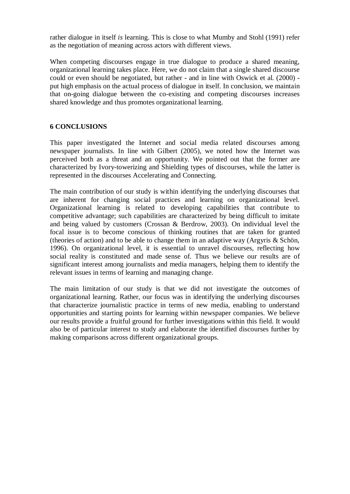rather dialogue in itself *is* learning. This is close to what Mumby and Stohl (1991) refer as the negotiation of meaning across actors with different views.

When competing discourses engage in true dialogue to produce a shared meaning. organizational learning takes place. Here, we do not claim that a single shared discourse could or even should be negotiated, but rather - and in line with Oswick et al. (2000) put high emphasis on the actual process of dialogue in itself. In conclusion, we maintain that on-going dialogue between the co-existing and competing discourses increases shared knowledge and thus promotes organizational learning.

# **6 CONCLUSIONS**

This paper investigated the Internet and social media related discourses among newspaper journalists. In line with Gilbert (2005), we noted how the Internet was perceived both as a threat and an opportunity. We pointed out that the former are characterized by Ivory-towerizing and Shielding types of discourses, while the latter is represented in the discourses Accelerating and Connecting.

The main contribution of our study is within identifying the underlying discourses that are inherent for changing social practices and learning on organizational level. Organizational learning is related to developing capabilities that contribute to competitive advantage; such capabilities are characterized by being difficult to imitate and being valued by customers (Crossan & Berdrow, 2003). On individual level the focal issue is to become conscious of thinking routines that are taken for granted (theories of action) and to be able to change them in an adaptive way (Argyris & Schön, 1996). On organizational level, it is essential to unravel discourses, reflecting how social reality is constituted and made sense of. Thus we believe our results are of significant interest among journalists and media managers, helping them to identify the relevant issues in terms of learning and managing change.

The main limitation of our study is that we did not investigate the outcomes of organizational learning. Rather, our focus was in identifying the underlying discourses that characterize journalistic practice in terms of new media, enabling to understand opportunities and starting points for learning within newspaper companies. We believe our results provide a fruitful ground for further investigations within this field. It would also be of particular interest to study and elaborate the identified discourses further by making comparisons across different organizational groups.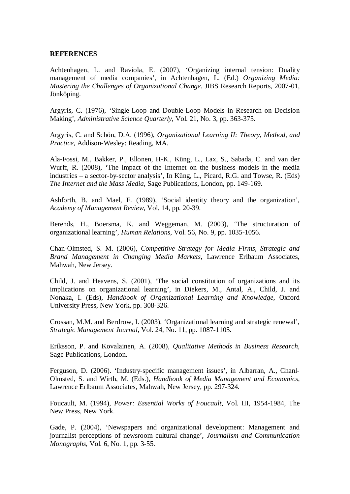#### **REFERENCES**

Achtenhagen, L. and Raviola, E. (2007), 'Organizing internal tension: Duality management of media companies', in Achtenhagen, L. (Ed.) *Organizing Media: Mastering the Challenges of Organizational Change*. JIBS Research Reports, 2007-01, Jönköping.

Argyris, C. (1976), 'Single-Loop and Double-Loop Models in Research on Decision Making', *Administrative Science Quarterly*, Vol. 21, No. 3, pp. 363-375.

Argyris, C. and Schön, D.A. (1996), *Organizational Learning II: Theory, Method, and Practice*, Addison-Wesley: Reading, MA.

Ala-Fossi, M., Bakker, P., Ellonen, H-K., Küng, L., Lax, S., Sabada, C. and van der Wurff, R. (2008), 'The impact of the Internet on the business models in the media industries – a sector-by-sector analysis', In Küng, L., Picard, R.G. and Towse, R. (Eds) *The Internet and the Mass Media*, Sage Publications, London, pp. 149-169.

Ashforth, B. and Mael, F. (1989), 'Social identity theory and the organization', *Academy of Management Review*, Vol. 14, pp. 20-39.

Berends, H., Boersma, K. and Weggeman, M. (2003), 'The structuration of organizational learning', *Human Relations*, Vol. 56, No. 9, pp. 1035-1056.

Chan-Olmsted, S. M. (2006), *Competitive Strategy for Media Firms, Strategic and Brand Management in Changing Media Markets*, Lawrence Erlbaum Associates, Mahwah, New Jersey.

Child, J. and Heavens, S. (2001), 'The social constitution of organizations and its implications on organizational learning', in Diekers, M., Antal, A., Child, J. and Nonaka, I. (Eds), *Handbook of Organizational Learning and Knowledge*, Oxford University Press, New York, pp. 308-326.

Crossan, M.M. and Berdrow, I. (2003), 'Organizational learning and strategic renewal', *Strategic Management Journal*, Vol. 24, No. 11, pp. 1087-1105.

Eriksson, P. and Kovalainen, A. (2008), *Qualitative Methods in Business Research,* Sage Publications, London.

Ferguson, D. (2006). 'Industry-specific management issues', in Albarran, A., Chanl-Olmsted, S. and Wirth, M. (Eds.), *Handbook of Media Management and Economics*, Lawrence Erlbaum Associates, Mahwah, New Jersey, pp. 297-324.

Foucault, M. (1994), *Power: Essential Works of Foucault*, Vol. III, 1954-1984, The New Press, New York.

Gade, P. (2004), 'Newspapers and organizational development: Management and journalist perceptions of newsroom cultural change', *Journalism and Communication Monographs*, Vol. 6, No. 1, pp. 3-55.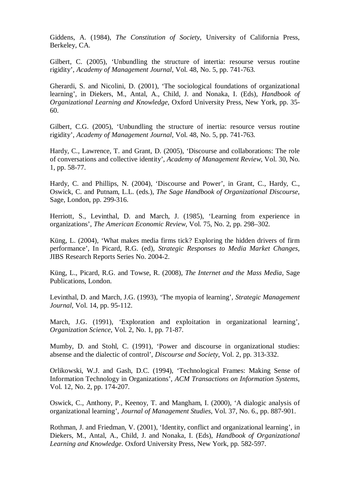Giddens, A. (1984), *The Constitution of Society*, University of California Press, Berkeley, CA.

Gilbert, C. (2005), 'Unbundling the structure of intertia: resourse versus routine rigidity', *Academy of Management Journal*, Vol. 48, No. 5, pp. 741-763.

Gherardi, S. and Nicolini, D. (2001), 'The sociological foundations of organizational learning', in Diekers, M., Antal, A., Child, J. and Nonaka, I. (Eds), *Handbook of Organizational Learning and Knowledge*, Oxford University Press, New York, pp. 35- 60.

Gilbert, C.G. (2005), 'Unbundling the structure of inertia: resource versus routine rigidity', *Academy of Management Journal*, Vol. 48, No. 5, pp. 741-763.

Hardy, C., Lawrence, T. and Grant, D. (2005), 'Discourse and collaborations: The role of conversations and collective identity', *Academy of Management Review*, Vol. 30, No. 1, pp. 58-77.

Hardy, C. and Phillips, N. (2004), 'Discourse and Power', in Grant, C., Hardy, C., Oswick, C. and Putnam, L.L. (eds.), *The Sage Handbook of Organizational Discourse*, Sage, London, pp. 299-316.

Herriott, S., Levinthal, D. and March, J. (1985), 'Learning from experience in organizations', *The American Economic Review*, Vol. 75, No. 2, pp. 298–302.

Küng, L. (2004), 'What makes media firms tick? Exploring the hidden drivers of firm performance', In Picard, R.G. (ed), *Strategic Responses to Media Market Changes*, JIBS Research Reports Series No. 2004-2.

Küng, L., Picard, R.G. and Towse, R. (2008), *The Internet and the Mass Media*, Sage Publications, London.

Levinthal, D. and March, J.G. (1993), 'The myopia of learning', *Strategic Management Journal*, Vol. 14, pp. 95-112.

March, J.G. (1991), 'Exploration and exploitation in organizational learning', *Organization Science*, Vol. 2, No. 1, pp. 71-87.

Mumby, D. and Stohl, C. (1991), 'Power and discourse in organizational studies: absense and the dialectic of control', *Discourse and Society*, Vol. 2, pp. 313-332.

Orlikowski, W.J. and Gash, D.C. (1994), 'Technological Frames: Making Sense of Information Technology in Organizations', *ACM Transactions on Information Systems*, Vol. 12, No. 2, pp. 174-207.

Oswick, C., Anthony, P., Keenoy, T. and Mangham, I. (2000), 'A dialogic analysis of organizational learning', *Journal of Management Studies*, Vol. 37, No. 6., pp. 887-901.

Rothman, J. and Friedman, V. (2001), 'Identity, conflict and organizational learning', in Diekers, M., Antal, A., Child, J. and Nonaka, I. (Eds), *Handbook of Organizational Learning and Knowledge*. Oxford University Press, New York, pp. 582-597.